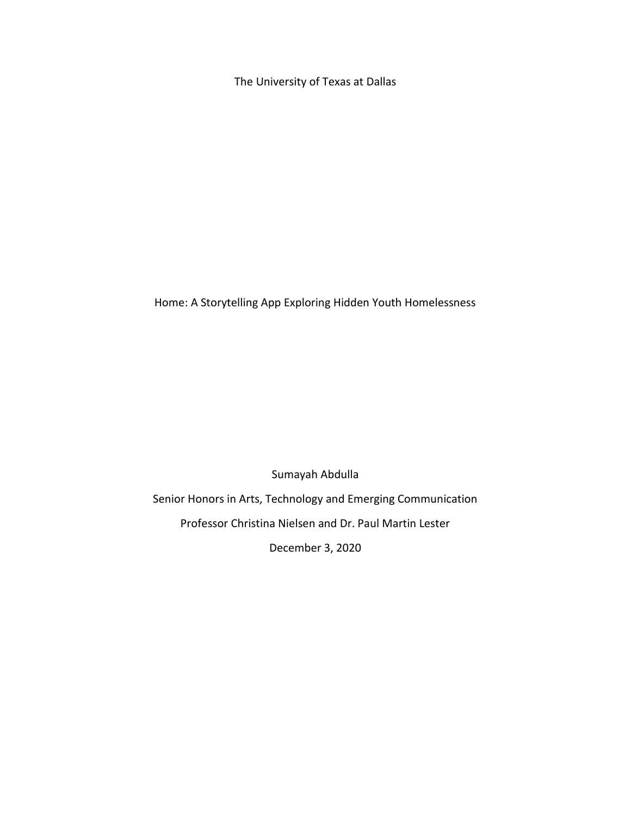The University of Texas at Dallas

Home: A Storytelling App Exploring Hidden Youth Homelessness

Sumayah Abdulla

Senior Honors in Arts, Technology and Emerging Communication

Professor Christina Nielsen and Dr. Paul Martin Lester

December 3, 2020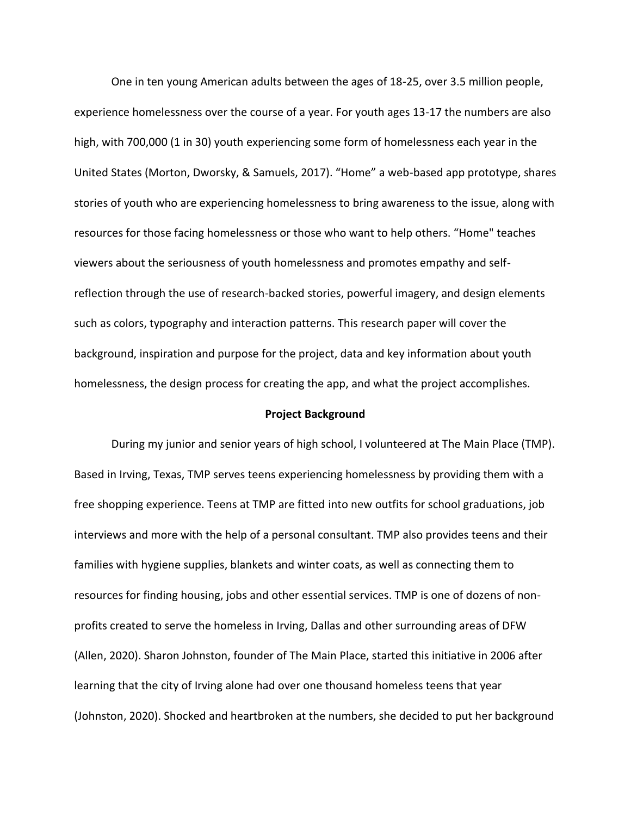One in ten young American adults between the ages of 18-25, over 3.5 million people, experience homelessness over the course of a year. For youth ages 13-17 the numbers are also high, with 700,000 (1 in 30) youth experiencing some form of homelessness each year in the United States (Morton, Dworsky, & Samuels, 2017). "Home" a web-based app prototype, shares stories of youth who are experiencing homelessness to bring awareness to the issue, along with resources for those facing homelessness or those who want to help others. "Home" teaches viewers about the seriousness of youth homelessness and promotes empathy and selfreflection through the use of research-backed stories, powerful imagery, and design elements such as colors, typography and interaction patterns. This research paper will cover the background, inspiration and purpose for the project, data and key information about youth homelessness, the design process for creating the app, and what the project accomplishes.

## **Project Background**

During my junior and senior years of high school, I volunteered at The Main Place (TMP). Based in Irving, Texas, TMP serves teens experiencing homelessness by providing them with a free shopping experience. Teens at TMP are fitted into new outfits for school graduations, job interviews and more with the help of a personal consultant. TMP also provides teens and their families with hygiene supplies, blankets and winter coats, as well as connecting them to resources for finding housing, jobs and other essential services. TMP is one of dozens of nonprofits created to serve the homeless in Irving, Dallas and other surrounding areas of DFW (Allen, 2020). Sharon Johnston, founder of The Main Place, started this initiative in 2006 after learning that the city of Irving alone had over one thousand homeless teens that year (Johnston, 2020). Shocked and heartbroken at the numbers, she decided to put her background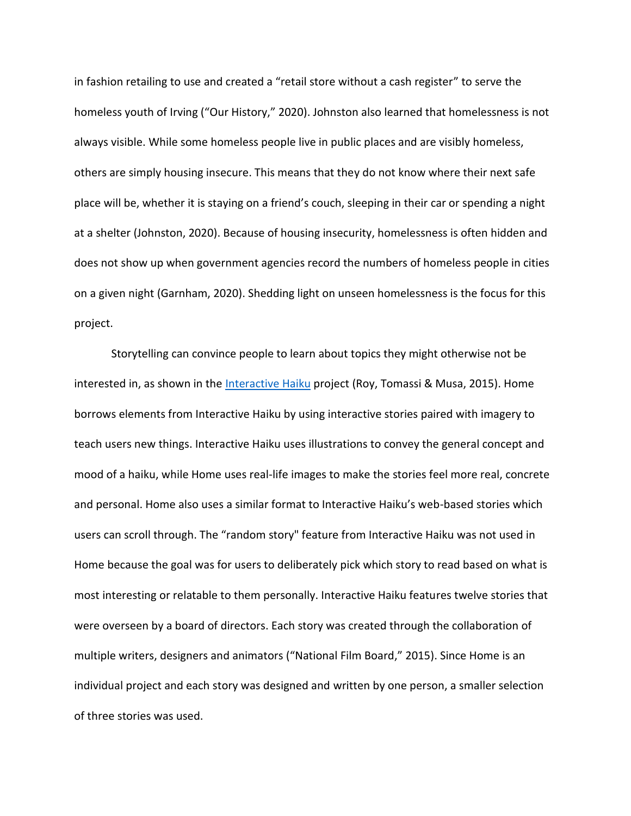in fashion retailing to use and created a "retail store without a cash register" to serve the homeless youth of Irving ("Our History," 2020). Johnston also learned that homelessness is not always visible. While some homeless people live in public places and are visibly homeless, others are simply housing insecure. This means that they do not know where their next safe place will be, whether it is staying on a friend's couch, sleeping in their car or spending a night at a shelter (Johnston, 2020). Because of housing insecurity, homelessness is often hidden and does not show up when government agencies record the numbers of homeless people in cities on a given night (Garnham, 2020). Shedding light on unseen homelessness is the focus for this project.

Storytelling can convince people to learn about topics they might otherwise not be interested in, as shown in the *Interactive Haiku* project (Roy, Tomassi & Musa, 2015). Home borrows elements from Interactive Haiku by using interactive stories paired with imagery to teach users new things. Interactive Haiku uses illustrations to convey the general concept and mood of a haiku, while Home uses real-life images to make the stories feel more real, concrete and personal. Home also uses a similar format to Interactive Haiku's web-based stories which users can scroll through. The "random story" feature from Interactive Haiku was not used in Home because the goal was for users to deliberately pick which story to read based on what is most interesting or relatable to them personally. Interactive Haiku features twelve stories that were overseen by a board of directors. Each story was created through the collaboration of multiple writers, designers and animators ("National Film Board," 2015). Since Home is an individual project and each story was designed and written by one person, a smaller selection of three stories was used.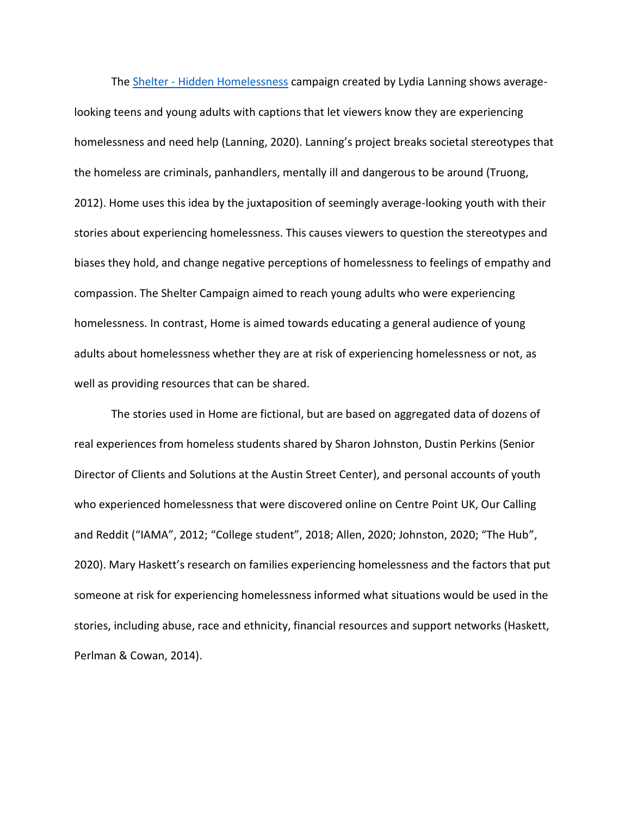The Shelter - [Hidden Homelessness](https://www.behance.net/gallery/100060679/Hidden-Homelessness-Campaign?tracking_source=search_projects_recommended%7Chomelessness) campaign created by Lydia Lanning shows averagelooking teens and young adults with captions that let viewers know they are experiencing homelessness and need help (Lanning, 2020). Lanning's project breaks societal stereotypes that the homeless are criminals, panhandlers, mentally ill and dangerous to be around (Truong, 2012). Home uses this idea by the juxtaposition of seemingly average-looking youth with their stories about experiencing homelessness. This causes viewers to question the stereotypes and biases they hold, and change negative perceptions of homelessness to feelings of empathy and compassion. The Shelter Campaign aimed to reach young adults who were experiencing homelessness. In contrast, Home is aimed towards educating a general audience of young adults about homelessness whether they are at risk of experiencing homelessness or not, as well as providing resources that can be shared.

The stories used in Home are fictional, but are based on aggregated data of dozens of real experiences from homeless students shared by Sharon Johnston, Dustin Perkins (Senior Director of Clients and Solutions at the Austin Street Center), and personal accounts of youth who experienced homelessness that were discovered online on Centre Point UK, Our Calling and Reddit ("IAMA", 2012; "College student", 2018; Allen, 2020; Johnston, 2020; "The Hub", 2020). Mary Haskett's research on families experiencing homelessness and the factors that put someone at risk for experiencing homelessness informed what situations would be used in the stories, including abuse, race and ethnicity, financial resources and support networks (Haskett, Perlman & Cowan, 2014).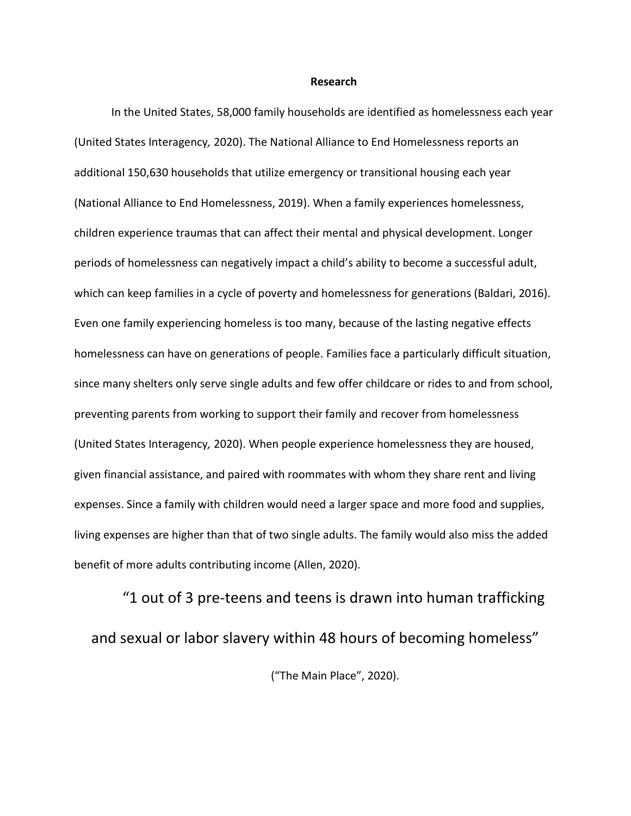#### **Research**

In the United States, 58,000 family households are identified as homelessness each year (United States Interagency*,* 2020). The National Alliance to End Homelessness reports an additional 150,630 households that utilize emergency or transitional housing each year (National Alliance to End Homelessness, 2019). When a family experiences homelessness, children experience traumas that can affect their mental and physical development. Longer periods of homelessness can negatively impact a child's ability to become a successful adult, which can keep families in a cycle of poverty and homelessness for generations (Baldari, 2016). Even one family experiencing homeless is too many, because of the lasting negative effects homelessness can have on generations of people. Families face a particularly difficult situation, since many shelters only serve single adults and few offer childcare or rides to and from school, preventing parents from working to support their family and recover from homelessness (United States Interagency*,* 2020). When people experience homelessness they are housed, given financial assistance, and paired with roommates with whom they share rent and living expenses. Since a family with children would need a larger space and more food and supplies, living expenses are higher than that of two single adults. The family would also miss the added benefit of more adults contributing income (Allen, 2020).

"1 out of 3 pre-teens and teens is drawn into human trafficking and sexual or labor slavery within 48 hours of becoming homeless" ("The Main Place", 2020).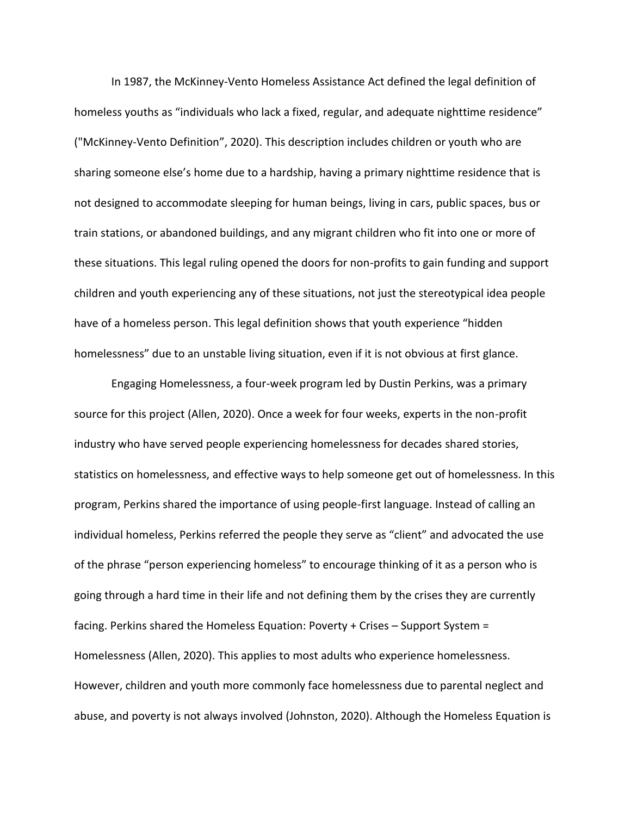In 1987, the McKinney-Vento Homeless Assistance Act defined the legal definition of homeless youths as "individuals who lack a fixed, regular, and adequate nighttime residence" ("McKinney-Vento Definition", 2020). This description includes children or youth who are sharing someone else's home due to a hardship, having a primary nighttime residence that is not designed to accommodate sleeping for human beings, living in cars, public spaces, bus or train stations, or abandoned buildings, and any migrant children who fit into one or more of these situations. This legal ruling opened the doors for non-profits to gain funding and support children and youth experiencing any of these situations, not just the stereotypical idea people have of a homeless person. This legal definition shows that youth experience "hidden homelessness" due to an unstable living situation, even if it is not obvious at first glance.

Engaging Homelessness, a four-week program led by Dustin Perkins, was a primary source for this project (Allen, 2020). Once a week for four weeks, experts in the non-profit industry who have served people experiencing homelessness for decades shared stories, statistics on homelessness, and effective ways to help someone get out of homelessness. In this program, Perkins shared the importance of using people-first language. Instead of calling an individual homeless, Perkins referred the people they serve as "client" and advocated the use of the phrase "person experiencing homeless" to encourage thinking of it as a person who is going through a hard time in their life and not defining them by the crises they are currently facing. Perkins shared the Homeless Equation: Poverty + Crises – Support System = Homelessness (Allen, 2020). This applies to most adults who experience homelessness. However, children and youth more commonly face homelessness due to parental neglect and abuse, and poverty is not always involved (Johnston, 2020). Although the Homeless Equation is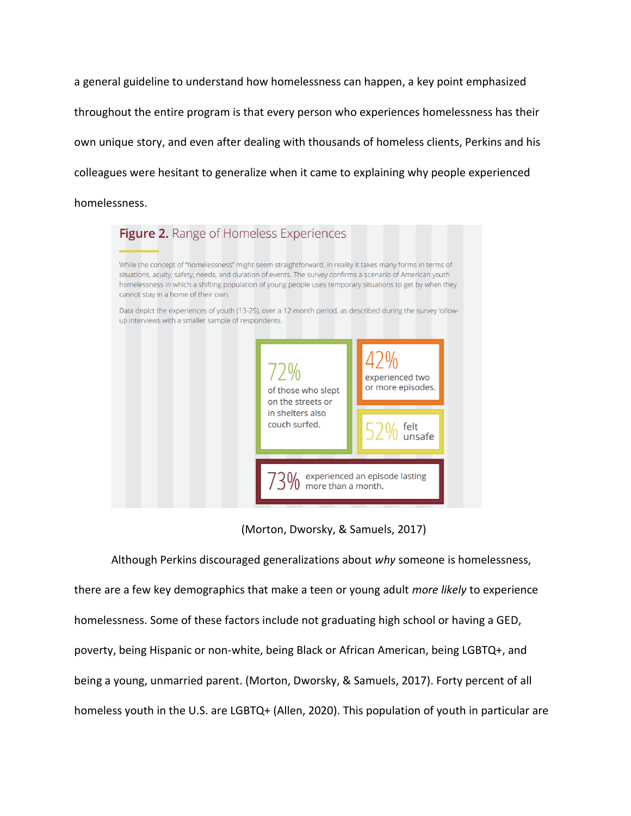a general guideline to understand how homelessness can happen, a key point emphasized throughout the entire program is that every person who experiences homelessness has their own unique story, and even after dealing with thousands of homeless clients, Perkins and his colleagues were hesitant to generalize when it came to explaining why people experienced homelessness.



(Morton, Dworsky, & Samuels, 2017)

Although Perkins discouraged generalizations about *why* someone is homelessness, there are a few key demographics that make a teen or young adult *more likely* to experience homelessness. Some of these factors include not graduating high school or having a GED, poverty, being Hispanic or non-white, being Black or African American, being LGBTQ+, and being a young, unmarried parent. (Morton, Dworsky, & Samuels, 2017). Forty percent of all homeless youth in the U.S. are LGBTQ+ (Allen, 2020). This population of youth in particular are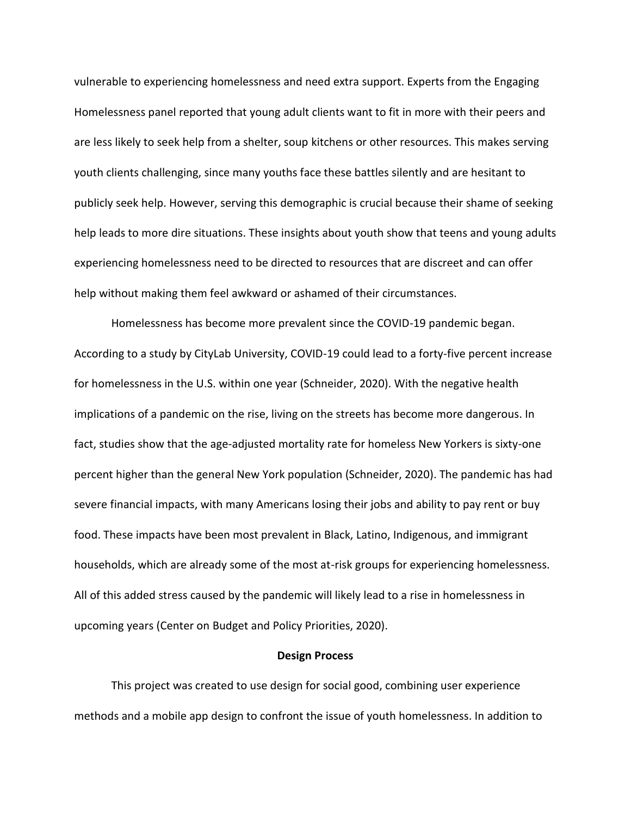vulnerable to experiencing homelessness and need extra support. Experts from the Engaging Homelessness panel reported that young adult clients want to fit in more with their peers and are less likely to seek help from a shelter, soup kitchens or other resources. This makes serving youth clients challenging, since many youths face these battles silently and are hesitant to publicly seek help. However, serving this demographic is crucial because their shame of seeking help leads to more dire situations. These insights about youth show that teens and young adults experiencing homelessness need to be directed to resources that are discreet and can offer help without making them feel awkward or ashamed of their circumstances.

Homelessness has become more prevalent since the COVID-19 pandemic began. According to a study by CityLab University, COVID-19 could lead to a forty-five percent increase for homelessness in the U.S. within one year (Schneider, 2020). With the negative health implications of a pandemic on the rise, living on the streets has become more dangerous. In fact, studies show that the age-adjusted mortality rate for homeless New Yorkers is sixty-one percent higher than the general New York population (Schneider, 2020). The pandemic has had severe financial impacts, with many Americans losing their jobs and ability to pay rent or buy food. These impacts have been most prevalent in Black, Latino, Indigenous, and immigrant households, which are already some of the most at-risk groups for experiencing homelessness. All of this added stress caused by the pandemic will likely lead to a rise in homelessness in upcoming years (Center on Budget and Policy Priorities, 2020).

### **Design Process**

This project was created to use design for social good, combining user experience methods and a mobile app design to confront the issue of youth homelessness. In addition to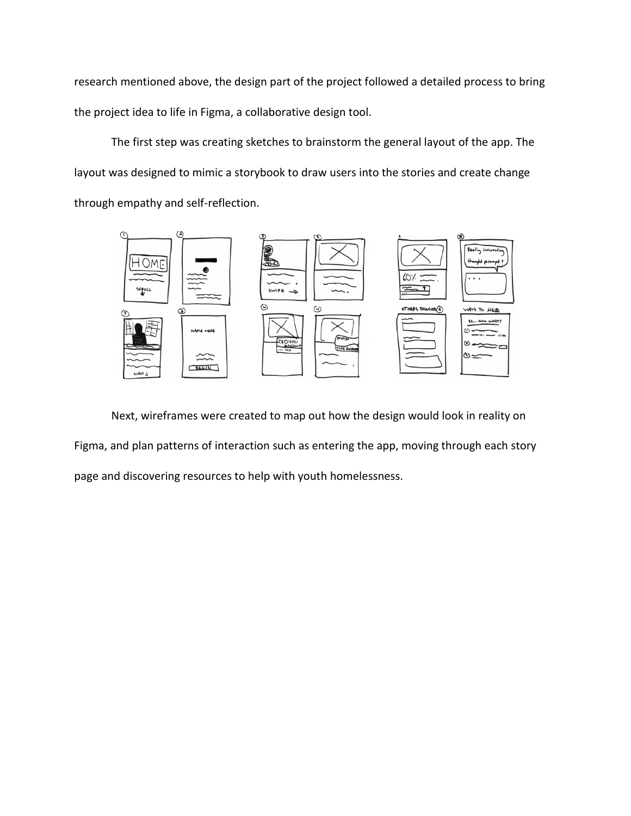research mentioned above, the design part of the project followed a detailed process to bring the project idea to life in Figma, a collaborative design tool.

The first step was creating sketches to brainstorm the general layout of the app. The layout was designed to mimic a storybook to draw users into the stories and create change through empathy and self-reflection.



Next, wireframes were created to map out how the design would look in reality on Figma, and plan patterns of interaction such as entering the app, moving through each story page and discovering resources to help with youth homelessness.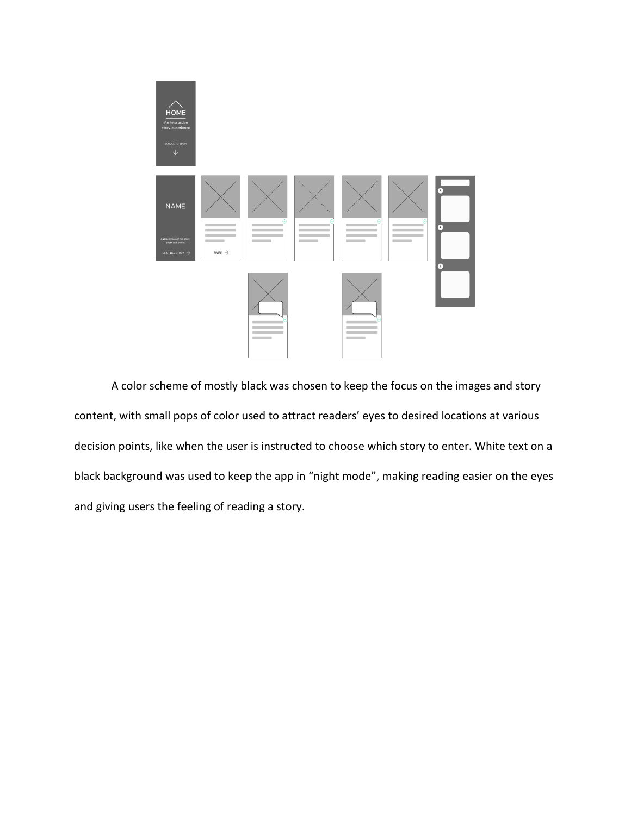

A color scheme of mostly black was chosen to keep the focus on the images and story content, with small pops of color used to attract readers' eyes to desired locations at various decision points, like when the user is instructed to choose which story to enter. White text on a black background was used to keep the app in "night mode", making reading easier on the eyes and giving users the feeling of reading a story.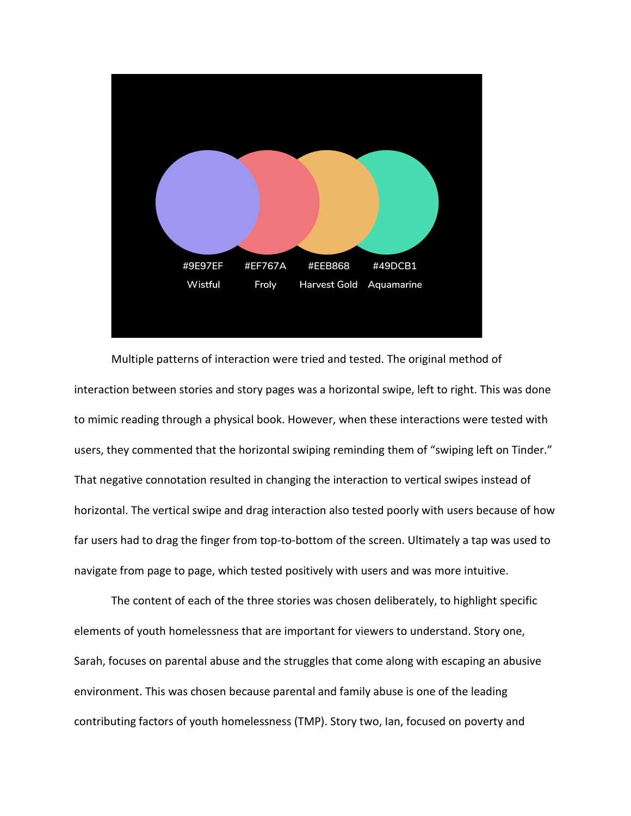

Multiple patterns of interaction were tried and tested. The original method of interaction between stories and story pages was a horizontal swipe, left to right. This was done to mimic reading through a physical book. However, when these interactions were tested with users, they commented that the horizontal swiping reminding them of "swiping left on Tinder." That negative connotation resulted in changing the interaction to vertical swipes instead of horizontal. The vertical swipe and drag interaction also tested poorly with users because of how far users had to drag the finger from top-to-bottom of the screen. Ultimately a tap was used to navigate from page to page, which tested positively with users and was more intuitive.

The content of each of the three stories was chosen deliberately, to highlight specific elements of youth homelessness that are important for viewers to understand. Story one, Sarah, focuses on parental abuse and the struggles that come along with escaping an abusive environment. This was chosen because parental and family abuse is one of the leading contributing factors of youth homelessness (TMP). Story two, Ian, focused on poverty and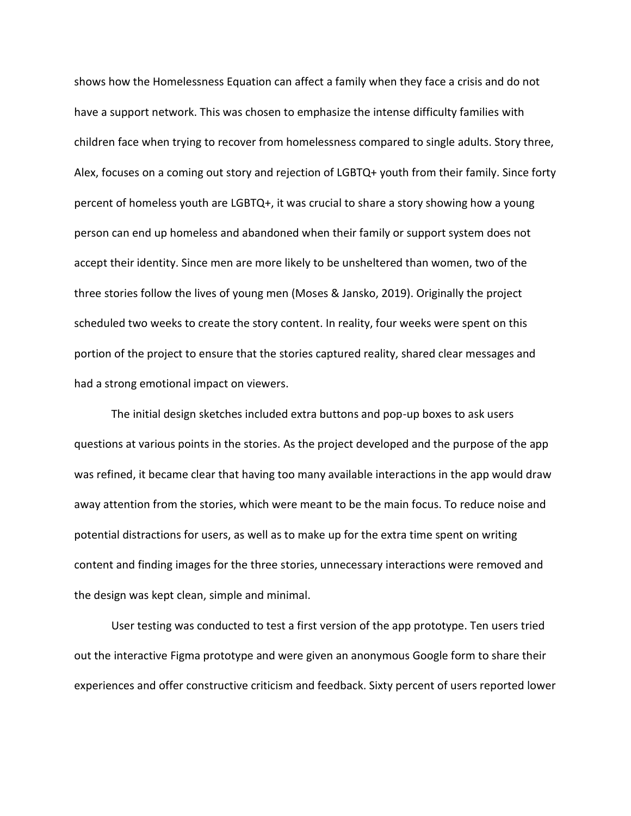shows how the Homelessness Equation can affect a family when they face a crisis and do not have a support network. This was chosen to emphasize the intense difficulty families with children face when trying to recover from homelessness compared to single adults. Story three, Alex, focuses on a coming out story and rejection of LGBTQ+ youth from their family. Since forty percent of homeless youth are LGBTQ+, it was crucial to share a story showing how a young person can end up homeless and abandoned when their family or support system does not accept their identity. Since men are more likely to be unsheltered than women, two of the three stories follow the lives of young men (Moses & Jansko, 2019). Originally the project scheduled two weeks to create the story content. In reality, four weeks were spent on this portion of the project to ensure that the stories captured reality, shared clear messages and had a strong emotional impact on viewers.

The initial design sketches included extra buttons and pop-up boxes to ask users questions at various points in the stories. As the project developed and the purpose of the app was refined, it became clear that having too many available interactions in the app would draw away attention from the stories, which were meant to be the main focus. To reduce noise and potential distractions for users, as well as to make up for the extra time spent on writing content and finding images for the three stories, unnecessary interactions were removed and the design was kept clean, simple and minimal.

User testing was conducted to test a first version of the app prototype. Ten users tried out the interactive Figma prototype and were given an anonymous Google form to share their experiences and offer constructive criticism and feedback. Sixty percent of users reported lower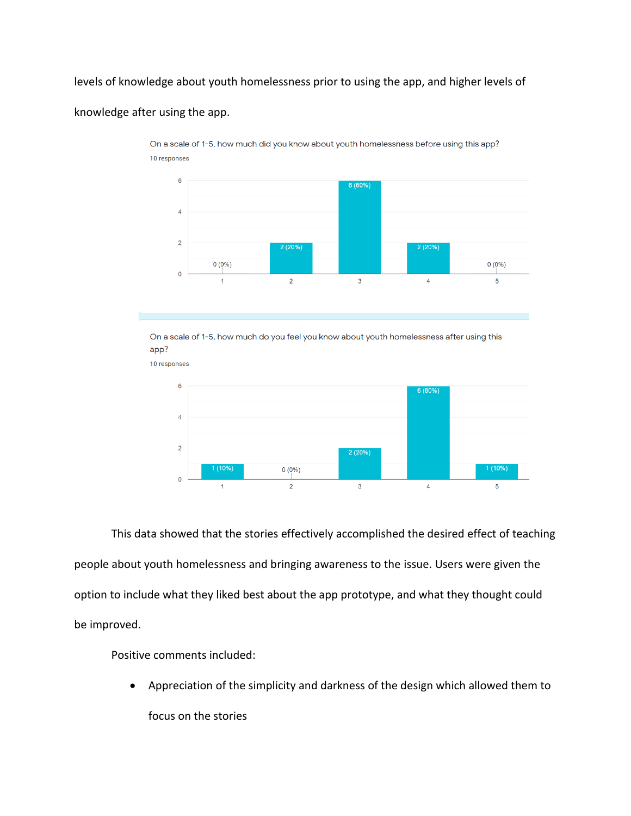levels of knowledge about youth homelessness prior to using the app, and higher levels of

# knowledge after using the app.

10 responses

On a scale of 1-5, how much did you know about youth homelessness before using this app? 10 responses



On a scale of 1-5, how much do you feel you know about youth homelessness after using this app?

 $6\overline{6}$ 6 (60%)  $\overline{4}$  $\overline{2}$ 2 (20%)  $0(0\%)$  $\mathbf{0}$  $\overline{a}$  $\mathbf{3}$  $\overline{4}$  $\overline{5}$ 

This data showed that the stories effectively accomplished the desired effect of teaching people about youth homelessness and bringing awareness to the issue. Users were given the option to include what they liked best about the app prototype, and what they thought could be improved.

Positive comments included:

• Appreciation of the simplicity and darkness of the design which allowed them to focus on the stories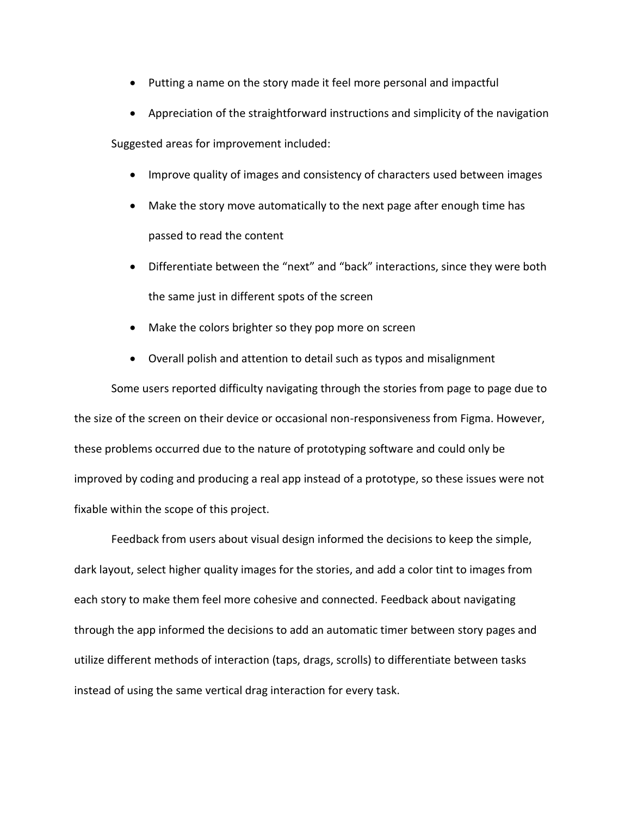- Putting a name on the story made it feel more personal and impactful
- Appreciation of the straightforward instructions and simplicity of the navigation

Suggested areas for improvement included:

- Improve quality of images and consistency of characters used between images
- Make the story move automatically to the next page after enough time has passed to read the content
- Differentiate between the "next" and "back" interactions, since they were both the same just in different spots of the screen
- Make the colors brighter so they pop more on screen
- Overall polish and attention to detail such as typos and misalignment

Some users reported difficulty navigating through the stories from page to page due to the size of the screen on their device or occasional non-responsiveness from Figma. However, these problems occurred due to the nature of prototyping software and could only be improved by coding and producing a real app instead of a prototype, so these issues were not fixable within the scope of this project.

Feedback from users about visual design informed the decisions to keep the simple, dark layout, select higher quality images for the stories, and add a color tint to images from each story to make them feel more cohesive and connected. Feedback about navigating through the app informed the decisions to add an automatic timer between story pages and utilize different methods of interaction (taps, drags, scrolls) to differentiate between tasks instead of using the same vertical drag interaction for every task.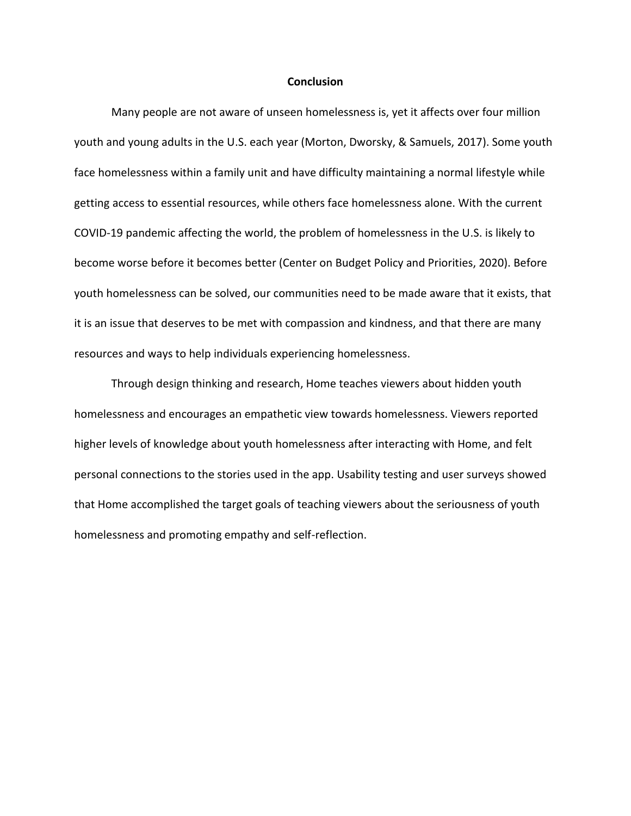## **Conclusion**

Many people are not aware of unseen homelessness is, yet it affects over four million youth and young adults in the U.S. each year (Morton, Dworsky, & Samuels, 2017). Some youth face homelessness within a family unit and have difficulty maintaining a normal lifestyle while getting access to essential resources, while others face homelessness alone. With the current COVID-19 pandemic affecting the world, the problem of homelessness in the U.S. is likely to become worse before it becomes better (Center on Budget Policy and Priorities, 2020). Before youth homelessness can be solved, our communities need to be made aware that it exists, that it is an issue that deserves to be met with compassion and kindness, and that there are many resources and ways to help individuals experiencing homelessness.

Through design thinking and research, Home teaches viewers about hidden youth homelessness and encourages an empathetic view towards homelessness. Viewers reported higher levels of knowledge about youth homelessness after interacting with Home, and felt personal connections to the stories used in the app. Usability testing and user surveys showed that Home accomplished the target goals of teaching viewers about the seriousness of youth homelessness and promoting empathy and self-reflection.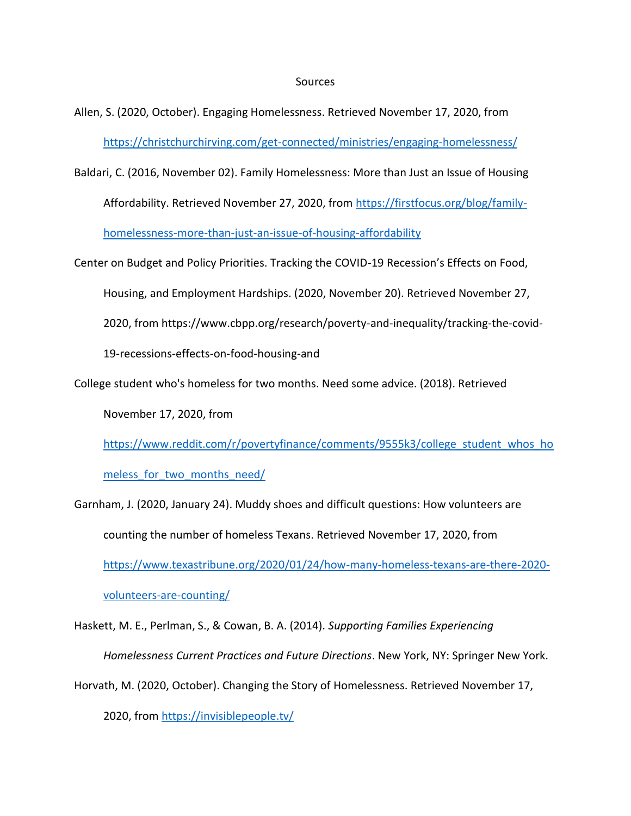## Sources

- Allen, S. (2020, October). Engaging Homelessness. Retrieved November 17, 2020, from <https://christchurchirving.com/get-connected/ministries/engaging-homelessness/>
- Baldari, C. (2016, November 02). Family Homelessness: More than Just an Issue of Housing

Affordability. Retrieved November 27, 2020, from [https://firstfocus.org/blog/family-](https://firstfocus.org/blog/family-homelessness-more-than-just-an-issue-of-housing-affordability)

[homelessness-more-than-just-an-issue-of-housing-affordability](https://firstfocus.org/blog/family-homelessness-more-than-just-an-issue-of-housing-affordability)

Center on Budget and Policy Priorities. Tracking the COVID-19 Recession's Effects on Food,

Housing, and Employment Hardships. (2020, November 20). Retrieved November 27,

2020, from https://www.cbpp.org/research/poverty-and-inequality/tracking-the-covid-

19-recessions-effects-on-food-housing-and

College student who's homeless for two months. Need some advice. (2018). Retrieved

November 17, 2020, from

[https://www.reddit.com/r/povertyfinance/comments/9555k3/college\\_student\\_whos\\_ho](https://www.reddit.com/r/povertyfinance/comments/9555k3/college_student_whos_homeless_for_two_months_need/)

meless for two months need/

Garnham, J. (2020, January 24). Muddy shoes and difficult questions: How volunteers are counting the number of homeless Texans. Retrieved November 17, 2020, from [https://www.texastribune.org/2020/01/24/how-many-homeless-texans-are-there-2020](https://www.texastribune.org/2020/01/24/how-many-homeless-texans-are-there-2020-volunteers-are-counting/) [volunteers-are-counting/](https://www.texastribune.org/2020/01/24/how-many-homeless-texans-are-there-2020-volunteers-are-counting/)

Haskett, M. E., Perlman, S., & Cowan, B. A. (2014). *Supporting Families Experiencing Homelessness Current Practices and Future Directions*. New York, NY: Springer New York. Horvath, M. (2020, October). Changing the Story of Homelessness. Retrieved November 17,

2020, from<https://invisiblepeople.tv/>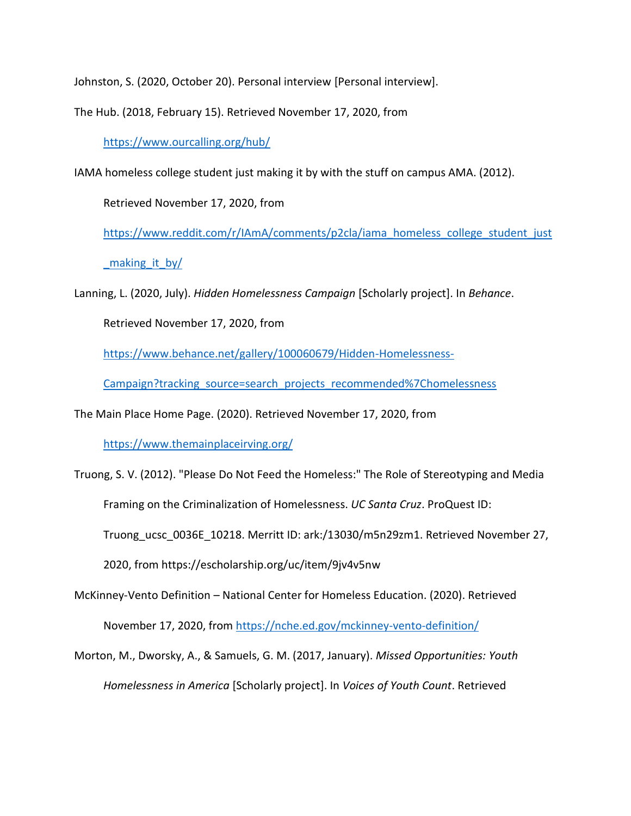Johnston, S. (2020, October 20). Personal interview [Personal interview].

The Hub. (2018, February 15). Retrieved November 17, 2020, from

<https://www.ourcalling.org/hub/>

IAMA homeless college student just making it by with the stuff on campus AMA. (2012).

Retrieved November 17, 2020, from

[https://www.reddit.com/r/IAmA/comments/p2cla/iama\\_homeless\\_college\\_student\\_just](https://www.reddit.com/r/IAmA/comments/p2cla/iama_homeless_college_student_just_making_it_by/) making it by/

Lanning, L. (2020, July). *Hidden Homelessness Campaign* [Scholarly project]. In *Behance*.

Retrieved November 17, 2020, from

[https://www.behance.net/gallery/100060679/Hidden-Homelessness-](https://www.behance.net/gallery/100060679/Hidden-Homelessness-Campaign?tracking_source=search_projects_recommended%7Chomelessness)

[Campaign?tracking\\_source=search\\_projects\\_recommended%7Chomelessness](https://www.behance.net/gallery/100060679/Hidden-Homelessness-Campaign?tracking_source=search_projects_recommended%7Chomelessness)

The Main Place Home Page. (2020). Retrieved November 17, 2020, from

<https://www.themainplaceirving.org/>

Truong, S. V. (2012). "Please Do Not Feed the Homeless:" The Role of Stereotyping and Media Framing on the Criminalization of Homelessness. *UC Santa Cruz*. ProQuest ID: Truong\_ucsc\_0036E\_10218. Merritt ID: ark:/13030/m5n29zm1. Retrieved November 27, 2020, from https://escholarship.org/uc/item/9jv4v5nw McKinney-Vento Definition – National Center for Homeless Education. (2020). Retrieved

November 17, 2020, from<https://nche.ed.gov/mckinney-vento-definition/>

Morton, M., Dworsky, A., & Samuels, G. M. (2017, January). *Missed Opportunities: Youth Homelessness in America* [Scholarly project]. In *Voices of Youth Count*. Retrieved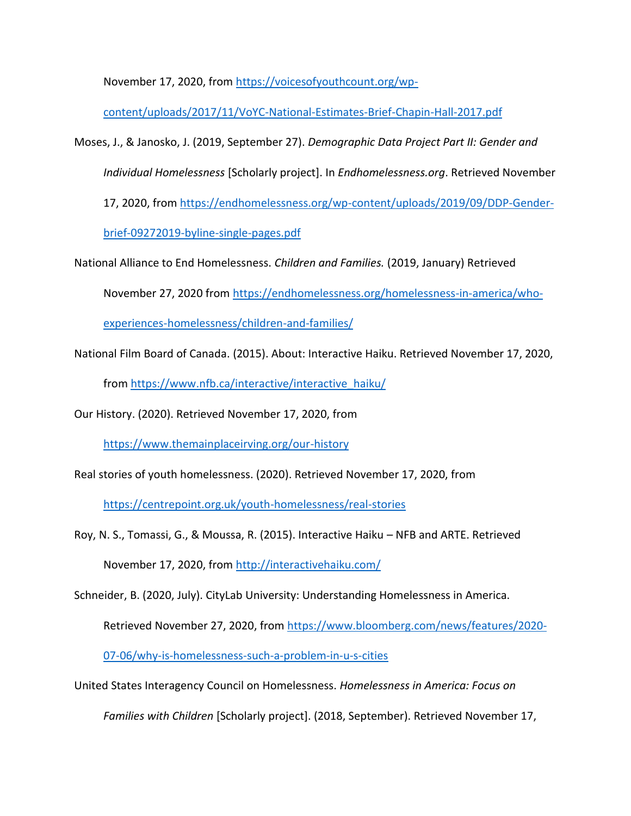November 17, 2020, from [https://voicesofyouthcount.org/wp-](https://voicesofyouthcount.org/wp-content/uploads/2017/11/VoYC-National-Estimates-Brief-Chapin-Hall-2017.pdf)

[content/uploads/2017/11/VoYC-National-Estimates-Brief-Chapin-Hall-2017.pdf](https://voicesofyouthcount.org/wp-content/uploads/2017/11/VoYC-National-Estimates-Brief-Chapin-Hall-2017.pdf)

Moses, J., & Janosko, J. (2019, September 27). *Demographic Data Project Part II: Gender and* 

*Individual Homelessness* [Scholarly project]. In *Endhomelessness.org*. Retrieved November

17, 2020, from [https://endhomelessness.org/wp-content/uploads/2019/09/DDP-Gender-](https://endhomelessness.org/wp-content/uploads/2019/09/DDP-Gender-brief-09272019-byline-single-pages.pdf)

[brief-09272019-byline-single-pages.pdf](https://endhomelessness.org/wp-content/uploads/2019/09/DDP-Gender-brief-09272019-byline-single-pages.pdf)

National Alliance to End Homelessness. *Children and Families.* (2019, January) Retrieved

November 27, 2020 from [https://endhomelessness.org/homelessness-in-america/who-](https://endhomelessness.org/homelessness-in-america/who-experiences-homelessness/children-and-families/)

[experiences-homelessness/children-and-families/](https://endhomelessness.org/homelessness-in-america/who-experiences-homelessness/children-and-families/)

National Film Board of Canada. (2015). About: Interactive Haiku. Retrieved November 17, 2020,

from [https://www.nfb.ca/interactive/interactive\\_haiku/](https://www.nfb.ca/interactive/interactive_haiku/)

Our History. (2020). Retrieved November 17, 2020, from

<https://www.themainplaceirving.org/our-history>

Real stories of youth homelessness. (2020). Retrieved November 17, 2020, from

<https://centrepoint.org.uk/youth-homelessness/real-stories>

Roy, N. S., Tomassi, G., & Moussa, R. (2015). Interactive Haiku – NFB and ARTE. Retrieved November 17, 2020, from<http://interactivehaiku.com/>

Schneider, B. (2020, July). CityLab University: Understanding Homelessness in America.

Retrieved November 27, 2020, from [https://www.bloomberg.com/news/features/2020-](https://www.bloomberg.com/news/features/2020-07-06/why-is-homelessness-such-a-problem-in-u-s-cities)

[07-06/why-is-homelessness-such-a-problem-in-u-s-cities](https://www.bloomberg.com/news/features/2020-07-06/why-is-homelessness-such-a-problem-in-u-s-cities)

United States Interagency Council on Homelessness. *Homelessness in America: Focus on* 

*Families with Children* [Scholarly project]. (2018, September). Retrieved November 17,